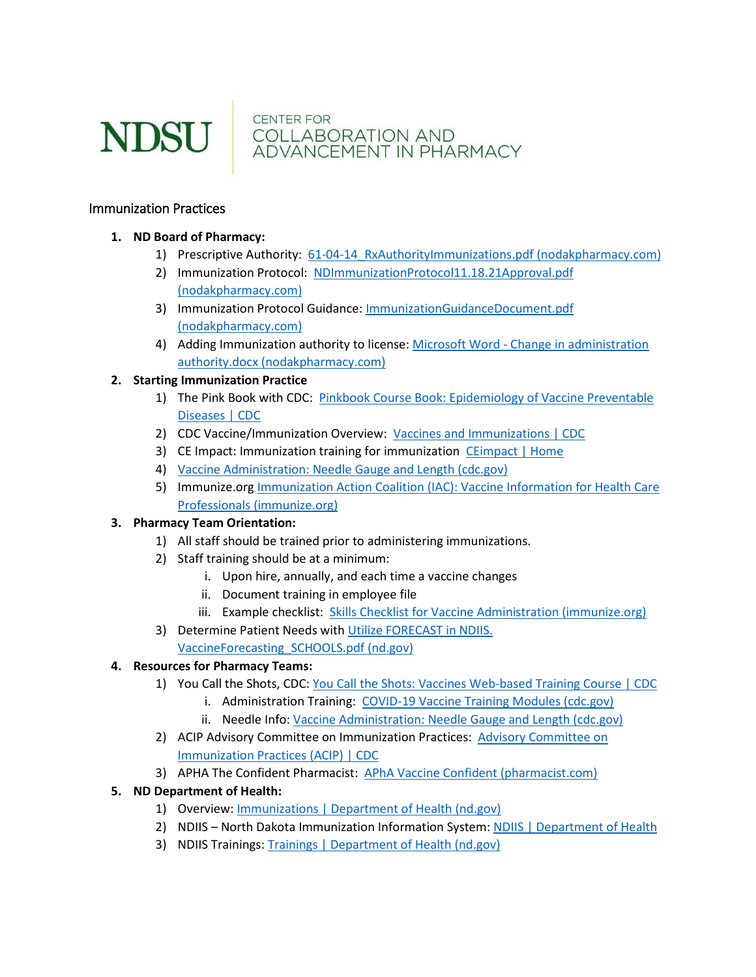

NDSU COLLABORATION AND COLLABORATION AND

#### Immunization Practices

### **1. ND Board of Pharmacy:**

- 1) Prescriptive Authority: 61-04-14 RxAuthorityImmunizations.pdf (nodakpharmacy.com)
- 2) Immunization Protocol: NDImmunizationProtocol11.18.21Approval.pdf [\(nodakpharmacy.com\)](https://www.nodakpharmacy.com/pdfs/NDImmunizationProtocol11.18.21Approval.pdf)
- 3) Immunization Protocol Guidance: [ImmunizationGuidanceDocument.pdf](https://www.nodakpharmacy.com/pdfs/ImmunizationGuidanceDocument.pdf)  [\(nodakpharmacy.com\)](https://www.nodakpharmacy.com/pdfs/ImmunizationGuidanceDocument.pdf)
- 4) Adding Immunization authority to license: Microsoft Word Change in administration [authority.docx \(nodakpharmacy.com\)](https://www.nodakpharmacy.com/pdfs/AddingAdministrationAuthorityPersonalLicense.pdf)

### **2. Starting Immunization Practice**

- 1) The Pink Book with CDC: [Pinkbook Course Book: Epidemiology of Vaccine Preventable](https://www.cdc.gov/vaccines/pubs/pinkbook/index.html)  [Diseases | CDC](https://www.cdc.gov/vaccines/pubs/pinkbook/index.html)
- 2) CDC Vaccine/Immunization Overview: [Vaccines and Immunizations | CDC](https://www.cdc.gov/vaccines/index.html)
- 3) CE Impact: Immunization training for immunization [CEimpact | Home](https://www.ceimpact.com/)
- 4) [Vaccine Administration: Needle Gauge and Length \(cdc.gov\)](https://www.cdc.gov/vaccines/hcp/admin/downloads/vaccine-administration-needle-length.pdf)
- 5) Immunize.org [Immunization Action Coalition \(IAC\): Vaccine Information for Health Care](https://www.immunize.org/)  [Professionals \(immunize.org\)](https://www.immunize.org/)

## **3. Pharmacy Team Orientation:**

- 1) All staff should be trained prior to administering immunizations.
- 2) Staff training should be at a minimum:
	- i. Upon hire, annually, and each time a vaccine changes
	- ii. Document training in employee file
	- iii. Example checklist: [Skills Checklist for Vaccine Administration \(immunize.org\)](https://www.immunize.org/catg.d/p7010.pdf)
- 3) Determine Patient Needs with Utilize FORECAST in NDIIS.

#### [VaccineForecasting\\_SCHOOLS.pdf \(nd.gov\)](https://www.health.nd.gov/sites/www/files/documents/Files/MSS/Immunizations/NDIIS/TrainingDocs/VaccineForecasting_SCHOOLS.pdf) **4. Resources for Pharmacy Teams:**

# 1) You Call the Shots, CDC: [You Call the Shots: Vaccines Web-based Training Course | CDC](https://www.cdc.gov/vaccines/ed/youcalltheshots.html)

- i. Administration Training: [COVID-19 Vaccine Training Modules \(cdc.gov\)](https://www2.cdc.gov/vaccines/ed/vaxadmin/va/ce.asp)
- ii. Needle Info[: Vaccine Administration: Needle Gauge and Length \(cdc.gov\)](https://www.cdc.gov/vaccines/hcp/admin/downloads/vaccine-administration-needle-length.pdf)
- 2) ACIP [Advisory Committee on](https://www.cdc.gov/vaccines/acip/index.html) Immunization Practices: Advisory Committee on [Immunization Practices \(ACIP\) | CDC](https://www.cdc.gov/vaccines/acip/index.html)
- 3) APHA The Confident Pharmacist: [APhA Vaccine Confident \(pharmacist.com\)](https://vaccineconfident.pharmacist.com/)

## **5. ND Department of Health:**

- 1) Overview: [Immunizations | Department of Health \(nd.gov\)](https://www.health.nd.gov/immunize)
- 2) NDIIS North Dakota Immunization Information System: [NDIIS | Department of Health](https://www.health.nd.gov/immunize/ndiis)
- 3) NDIIS Trainings: [Trainings | Department of Health \(nd.gov\)](https://www.health.nd.gov/immunize/ndiis/trainings)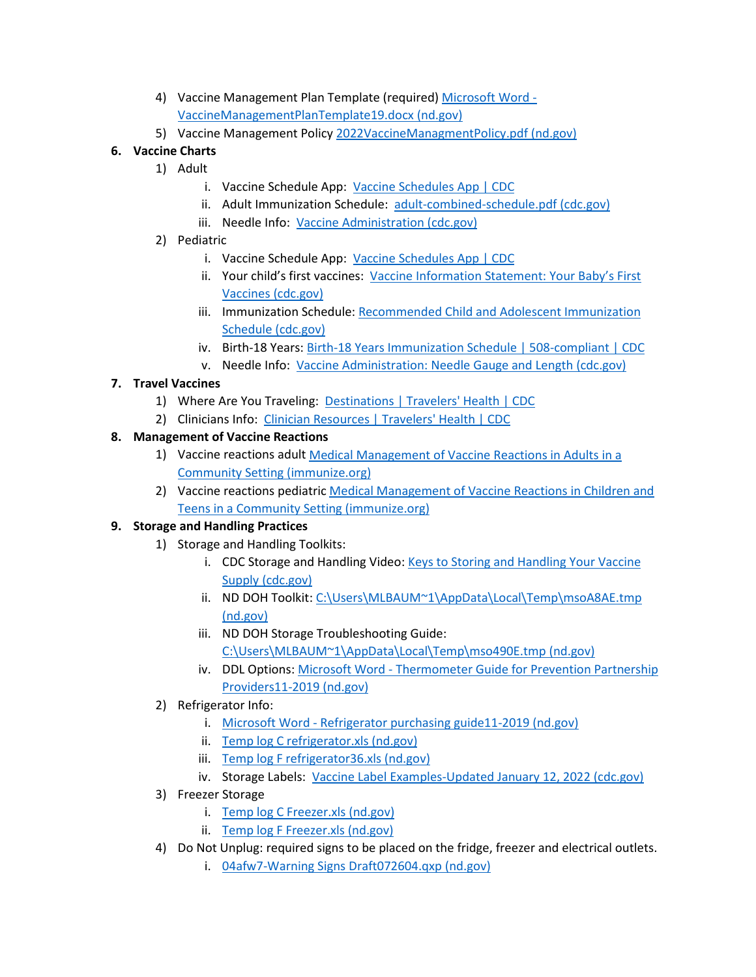- 4) Vaccine Management Plan Template (required) [Microsoft Word](https://www.health.nd.gov/sites/www/files/documents/Files/MSS/Immunizations/Providers/VaccineMgmtTemplate19.pdf)  [VaccineManagementPlanTemplate19.docx \(nd.gov\)](https://www.health.nd.gov/sites/www/files/documents/Files/MSS/Immunizations/Providers/VaccineMgmtTemplate19.pdf)
- 5) Vaccine Management Policy [2022VaccineManagmentPolicy.pdf \(nd.gov\)](https://www.health.nd.gov/sites/www/files/documents/Files/MSS/Immunizations/Providers/2022VaccineManagmentPolicy.pdf)

# **6. Vaccine Charts**

- 1) Adult
	- i. Vaccine Schedule App: [Vaccine Schedules App | CDC](https://www.cdc.gov/vaccines/schedules/hcp/schedule-app.html#download)
	- ii. Adult Immunization Schedule: [adult-combined-schedule.pdf \(cdc.gov\)](https://www.cdc.gov/vaccines/schedules/downloads/adult/adult-combined-schedule.pdf)
	- iii. Needle Info: [Vaccine Administration \(cdc.gov\)](https://www2.cdc.gov/vaccines/ed/vaxadmin/va/index.html)
- 2) Pediatric
	- i. Vaccine Schedule App: [Vaccine Schedules App | CDC](https://www.cdc.gov/vaccines/schedules/hcp/schedule-app.html#download)
	- ii. Your child's first vaccines: [Vaccine Information Statement: Your Baby's First](https://www.cdc.gov/vaccines/hcp/vis/vis-statements/multi.pdf)  [Vaccines \(cdc.gov\)](https://www.cdc.gov/vaccines/hcp/vis/vis-statements/multi.pdf)
	- iii. Immunization Schedule: Recommended Child and Adolescent Immunization [Schedule \(cdc.gov\)](https://www.cdc.gov/vaccines/schedules/downloads/child/0-18yrs-child-combined-schedule.pdf)
	- iv. Birth-18 Years[: Birth-18 Years Immunization Schedule | 508-compliant | CDC](https://www.cdc.gov/vaccines/schedules/hcp/imz/child-adolescent-compliant.html)
	- v. Needle Info: [Vaccine Administration: Needle Gauge and Length \(cdc.gov\)](https://www.cdc.gov/vaccines/hcp/admin/downloads/vaccine-administration-needle-length.pdf)

# **7. Travel Vaccines**

- 1) Where Are You Traveling: [Destinations | Travelers' Health | CDC](https://wwwnc.cdc.gov/travel/destinations/list)
- 2) Clinicians Info: [Clinician Resources | Travelers' Health | CDC](https://wwwnc.cdc.gov/travel/page/clinician-information-center)

# **8. Management of Vaccine Reactions**

- 1) Vaccine reactions adult [Medical Management of Vaccine Reactions in Adults in a](https://www.immunize.org/catg.d/p3082.pdf)  [Community Setting \(immunize.org\)](https://www.immunize.org/catg.d/p3082.pdf)
- 2) Vaccine reactions pediatric [Medical Management of Vaccine Reactions in Children and](https://www.immunize.org/catg.d/p3082a.pdf)  [Teens in a Community Setting \(immunize.org\)](https://www.immunize.org/catg.d/p3082a.pdf)

## **9. Storage and Handling Practices**

- 1) Storage and Handling Toolkits:
	- i. CDC Storage and Handling Video: Keys to Storing and [Handling Your Vaccine](https://www2.cdc.gov/vaccines/ed/shvideo/)  [Supply \(cdc.gov\)](https://www2.cdc.gov/vaccines/ed/shvideo/)
	- ii. ND DOH Toolkit: [C:\Users\MLBAUM~1\AppData\Local\Temp\msoA8AE.tmp](https://www.health.nd.gov/sites/www/files/documents/Files/MSS/Immunizations/Storage_Handling/bestpracticesforS%26H.pdf)  [\(nd.gov\)](https://www.health.nd.gov/sites/www/files/documents/Files/MSS/Immunizations/Storage_Handling/bestpracticesforS%26H.pdf)
	- iii. ND DOH Storage Troubleshooting Guide: [C:\Users\MLBAUM~1\AppData\Local\Temp\mso490E.tmp \(nd.gov\)](https://www.health.nd.gov/sites/www/files/documents/Files/MSS/Immunizations/Storage_Handling/Troubleshootingguide.pdf)
	- iv. DDL Options: [Microsoft Word Thermometer Guide for Prevention Partnership](https://www.health.nd.gov/sites/www/files/documents/Files/MSS/Immunizations/Storage_Handling/Thermometer_purchasing_guide2019.pdf)  [Providers11-2019 \(nd.gov\)](https://www.health.nd.gov/sites/www/files/documents/Files/MSS/Immunizations/Storage_Handling/Thermometer_purchasing_guide2019.pdf)
- 2) Refrigerator Info:
	- i. [Microsoft Word Refrigerator purchasing guide11-2019 \(nd.gov\)](https://www.health.nd.gov/sites/www/files/documents/Files/MSS/Immunizations/Storage_Handling/Refrigerator_freezerguide2019.pdf)
	- ii. [Temp log C refrigerator.xls \(nd.gov\)](https://www.health.nd.gov/sites/www/files/documents/Files/MSS/Immunizations/Storage_Handling/TemplogCFridge.pdf)
	- iii. [Temp log F refrigerator36.xls \(nd.gov\)](https://www.health.nd.gov/sites/www/files/documents/Files/MSS/Immunizations/Storage_Handling/TemplogFFridge.pdf)
	- iv. Storage Labels: [Vaccine Label Examples-Updated January 12, 2022 \(cdc.gov\)](https://www.cdc.gov/vaccines/hcp/admin/storage/guide/vaccine-storage-labels.pdf)
- 3) Freezer Storage
	- i. [Temp log C Freezer.xls \(nd.gov\)](https://www.health.nd.gov/sites/www/files/documents/Files/MSS/Immunizations/Storage_Handling/TemplogCFreezer.pdf)
	- ii. [Temp log F Freezer.xls \(nd.gov\)](https://www.health.nd.gov/sites/www/files/documents/Files/MSS/Immunizations/Storage_Handling/TemplogFfreezer.pdf)
- 4) Do Not Unplug: required signs to be placed on the fridge, freezer and electrical outlets.
	- i. [04afw7-Warning Signs Draft072604.qxp \(nd.gov\)](https://www.health.nd.gov/sites/www/files/documents/Files/MSS/Immunizations/Storage_Handling/DoNotUnplug_circuit.pdf)